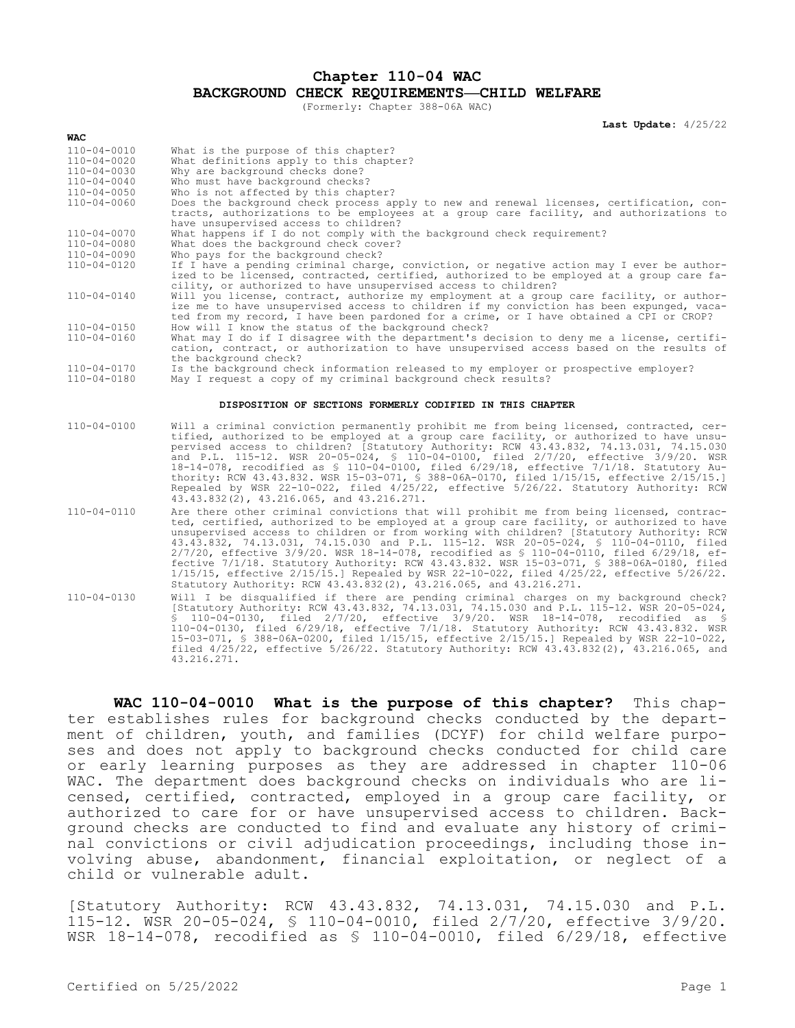**Chapter 110-04 WAC**

**BACKGROUND CHECK REQUIREMENTS—CHILD WELFARE**

(Formerly: Chapter 388-06A WAC)

**Last Update:** 4/25/22

| WAC                                             |                                                                                                                                                                                                                                                                                                                                                                                                                                                                                                                                                                                                                                                                                                                                                        |
|-------------------------------------------------|--------------------------------------------------------------------------------------------------------------------------------------------------------------------------------------------------------------------------------------------------------------------------------------------------------------------------------------------------------------------------------------------------------------------------------------------------------------------------------------------------------------------------------------------------------------------------------------------------------------------------------------------------------------------------------------------------------------------------------------------------------|
| $110 - 04 - 0010$<br>110-04-0020<br>110-04-0030 | What is the purpose of this chapter?<br>What definitions apply to this chapter?<br>Why are background checks done?                                                                                                                                                                                                                                                                                                                                                                                                                                                                                                                                                                                                                                     |
| $110 - 04 - 0040$<br>110-04-0050                | Who must have background checks?<br>Who is not affected by this chapter?                                                                                                                                                                                                                                                                                                                                                                                                                                                                                                                                                                                                                                                                               |
| 110-04-0060                                     | Does the background check process apply to new and renewal licenses, certification, con-<br>tracts, authorizations to be employees at a group care facility, and authorizations to<br>have unsupervised access to children?                                                                                                                                                                                                                                                                                                                                                                                                                                                                                                                            |
| $110 - 04 - 0070$<br>110-04-0080<br>110-04-0090 | What happens if I do not comply with the background check requirement?<br>What does the background check cover?<br>Who pays for the background check?                                                                                                                                                                                                                                                                                                                                                                                                                                                                                                                                                                                                  |
| 110-04-0120                                     | If I have a pending criminal charge, conviction, or negative action may I ever be author-<br>ized to be licensed, contracted, certified, authorized to be employed at a group care fa-<br>cility, or authorized to have unsupervised access to children?                                                                                                                                                                                                                                                                                                                                                                                                                                                                                               |
| 110-04-0140                                     | Will you license, contract, authorize my employment at a group care facility, or author-<br>ize me to have unsupervised access to children if my conviction has been expunged, vaca-<br>ted from my record, I have been pardoned for a crime, or I have obtained a CPI or CROP?                                                                                                                                                                                                                                                                                                                                                                                                                                                                        |
| 110-04-0150<br>110-04-0160                      | How will I know the status of the background check?<br>What may I do if I disagree with the department's decision to deny me a license, certifi-<br>cation, contract, or authorization to have unsupervised access based on the results of<br>the background check?                                                                                                                                                                                                                                                                                                                                                                                                                                                                                    |
| 110-04-0170<br>110-04-0180                      | Is the background check information released to my employer or prospective employer?<br>May I request a copy of my criminal background check results?                                                                                                                                                                                                                                                                                                                                                                                                                                                                                                                                                                                                  |
|                                                 | DISPOSITION OF SECTIONS FORMERLY CODIFIED IN THIS CHAPTER                                                                                                                                                                                                                                                                                                                                                                                                                                                                                                                                                                                                                                                                                              |
| 110-04-0100                                     | Will a criminal conviction permanently prohibit me from being licensed, contracted, cer-<br>tified, authorized to be employed at a group care facility, or authorized to have unsu-<br>pervised access to children? [Statutory Authority: RCW 43.43.832, 74.13.031, 74.15.030<br>and P.L. 115-12. WSR 20-05-024, § 110-04-0100, filed 2/7/20, effective 3/9/20. WSR<br>18-14-078, recodified as § 110-04-0100, filed 6/29/18, effective 7/1/18. Statutory Au-<br>thority: RCW 43.43.832. WSR 15-03-071, \$ 388-06A-0170, filed 1/15/15, effective 2/15/15.]<br>Repealed by WSR 22-10-022, filed 4/25/22, effective 5/26/22. Statutory Authority: RCW<br>43.43.832(2), 43.216.065, and 43.216.271.                                                      |
| 110-04-0110                                     | Are there other criminal convictions that will prohibit me from being licensed, contrac-<br>ted, certified, authorized to be employed at a group care facility, or authorized to have<br>unsupervised access to children or from working with children? [Statutory Authority: RCW<br>43.43.832, 74.13.031, 74.15.030 and P.L. 115-12. WSR 20-05-024, § 110-04-0110, filed<br>$2/7/20$ , effective $3/9/20$ . WSR 18-14-078, recodified as \$ 110-04-0110, filed 6/29/18, ef-<br>fective 7/1/18. Statutory Authority: RCW 43.43.832. WSR 15-03-071, § 388-06A-0180, filed<br>$1/15/15$ , effective $2/15/15$ . Repealed by WSR 22-10-022, filed $4/25/22$ , effective $5/26/22$ .<br>Statutory Authority: RCW 43.43.832(2), 43.216.065, and 43.216.271. |
| 110-04-0130                                     | Will I be disqualified if there are pending criminal charges on my background check?<br>[Statutory Authority: RCW 43.43.832, 74.13.031, 74.15.030 and P.L. 115-12. WSR 20-05-024,                                                                                                                                                                                                                                                                                                                                                                                                                                                                                                                                                                      |

**WAC 110-04-0010 What is the purpose of this chapter?** This chapter establishes rules for background checks conducted by the department of children, youth, and families (DCYF) for child welfare purposes and does not apply to background checks conducted for child care or early learning purposes as they are addressed in chapter 110-06 WAC. The department does background checks on individuals who are licensed, certified, contracted, employed in a group care facility, or authorized to care for or have unsupervised access to children. Background checks are conducted to find and evaluate any history of criminal convictions or civil adjudication proceedings, including those involving abuse, abandonment, financial exploitation, or neglect of a child or vulnerable adult.

[Statutory Authority: RCW 43.43.832, 74.13.031, 74.15.030 and P.L. 115-12. WSR 20-05-024, § 110-04-0010, filed 2/7/20, effective 3/9/20. WSR 18-14-078, recodified as § 110-04-0010, filed 6/29/18, effective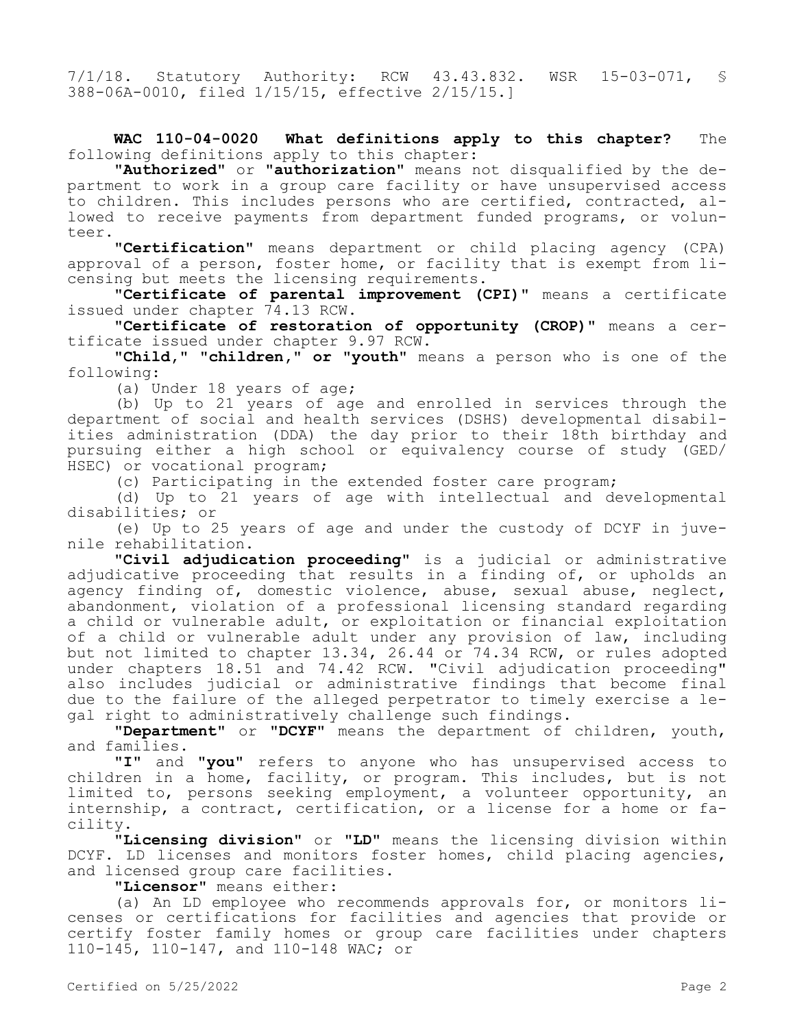7/1/18. Statutory Authority: RCW 43.43.832. WSR 15-03-071, § 388-06A-0010, filed 1/15/15, effective 2/15/15.]

**WAC 110-04-0020 What definitions apply to this chapter?** The following definitions apply to this chapter:

**"Authorized"** or **"authorization"** means not disqualified by the department to work in a group care facility or have unsupervised access to children. This includes persons who are certified, contracted, allowed to receive payments from department funded programs, or volunteer.

**"Certification"** means department or child placing agency (CPA) approval of a person, foster home, or facility that is exempt from licensing but meets the licensing requirements.

**"Certificate of parental improvement (CPI)"** means a certificate issued under chapter 74.13 RCW.

**"Certificate of restoration of opportunity (CROP)"** means a certificate issued under chapter 9.97 RCW.

**"Child," "children," or "youth"** means a person who is one of the following:

(a) Under 18 years of age;

(b) Up to 21 years of age and enrolled in services through the department of social and health services (DSHS) developmental disabilities administration (DDA) the day prior to their 18th birthday and pursuing either a high school or equivalency course of study (GED/ HSEC) or vocational program;

(c) Participating in the extended foster care program;

(d) Up to 21 years of age with intellectual and developmental disabilities; or

(e) Up to 25 years of age and under the custody of DCYF in juvenile rehabilitation.

**"Civil adjudication proceeding"** is a judicial or administrative adjudicative proceeding that results in a finding of, or upholds an agency finding of, domestic violence, abuse, sexual abuse, neglect, abandonment, violation of a professional licensing standard regarding a child or vulnerable adult, or exploitation or financial exploitation of a child or vulnerable adult under any provision of law, including but not limited to chapter 13.34, 26.44 or 74.34 RCW, or rules adopted under chapters 18.51 and 74.42 RCW. "Civil adjudication proceeding" also includes judicial or administrative findings that become final due to the failure of the alleged perpetrator to timely exercise a legal right to administratively challenge such findings.

**"Department"** or **"DCYF"** means the department of children, youth, and families.

**"I"** and **"you"** refers to anyone who has unsupervised access to children in a home, facility, or program. This includes, but is not limited to, persons seeking employment, a volunteer opportunity, an internship, a contract, certification, or a license for a home or facility.

**"Licensing division"** or **"LD"** means the licensing division within DCYF. LD licenses and monitors foster homes, child placing agencies, and licensed group care facilities.

**"Licensor"** means either:

(a) An LD employee who recommends approvals for, or monitors licenses or certifications for facilities and agencies that provide or certify foster family homes or group care facilities under chapters 110-145, 110-147, and 110-148 WAC; or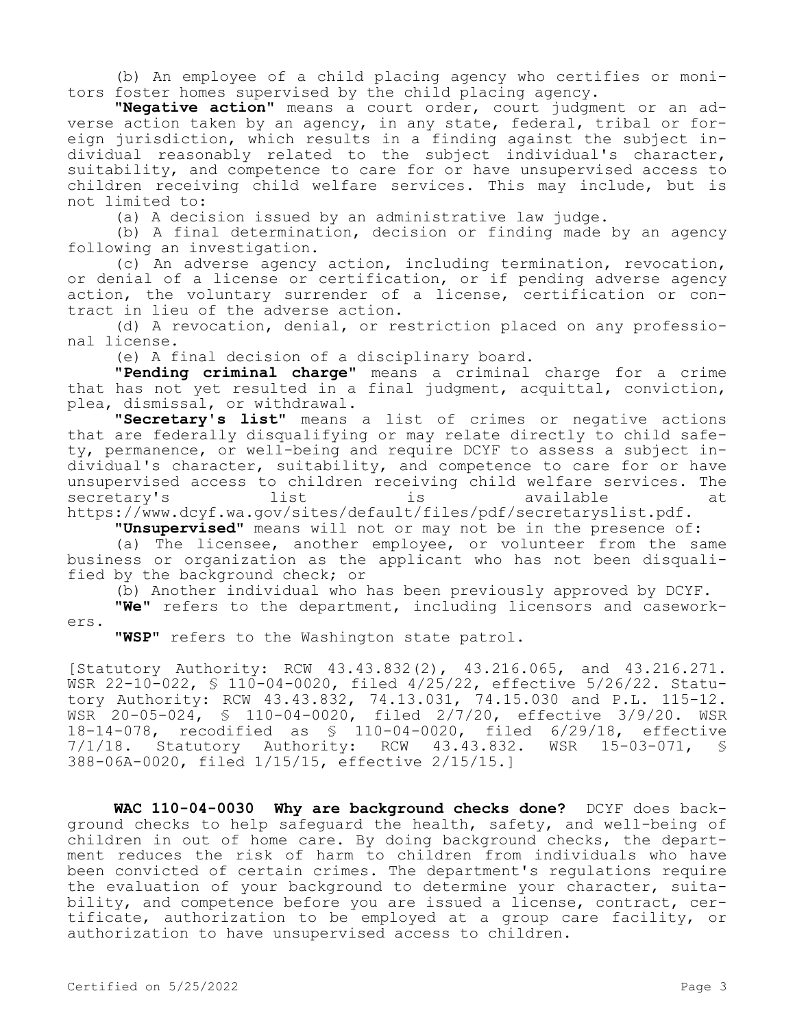(b) An employee of a child placing agency who certifies or monitors foster homes supervised by the child placing agency.

**"Negative action"** means a court order, court judgment or an adverse action taken by an agency, in any state, federal, tribal or foreign jurisdiction, which results in a finding against the subject individual reasonably related to the subject individual's character, suitability, and competence to care for or have unsupervised access to children receiving child welfare services. This may include, but is not limited to:

(a) A decision issued by an administrative law judge.

(b) A final determination, decision or finding made by an agency following an investigation.

(c) An adverse agency action, including termination, revocation, or denial of a license or certification, or if pending adverse agency action, the voluntary surrender of a license, certification or contract in lieu of the adverse action.

(d) A revocation, denial, or restriction placed on any professional license.

(e) A final decision of a disciplinary board.

**"Pending criminal charge"** means a criminal charge for a crime that has not yet resulted in a final judgment, acquittal, conviction, plea, dismissal, or withdrawal.

**"Secretary's list"** means a list of crimes or negative actions that are federally disqualifying or may relate directly to child safety, permanence, or well-being and require DCYF to assess a subject individual's character, suitability, and competence to care for or have unsupervised access to children receiving child welfare services. The secretary's list is available at https://www.dcyf.wa.gov/sites/default/files/pdf/secretaryslist.pdf.

**"Unsupervised"** means will not or may not be in the presence of:

(a) The licensee, another employee, or volunteer from the same business or organization as the applicant who has not been disqualified by the background check; or

(b) Another individual who has been previously approved by DCYF.

**"We"** refers to the department, including licensors and caseworkers.

**"WSP"** refers to the Washington state patrol.

[Statutory Authority: RCW 43.43.832(2), 43.216.065, and 43.216.271. WSR 22-10-022, § 110-04-0020, filed 4/25/22, effective 5/26/22. Statutory Authority: RCW 43.43.832, 74.13.031, 74.15.030 and P.L. 115-12. WSR 20-05-024, § 110-04-0020, filed 2/7/20, effective 3/9/20. WSR 18-14-078, recodified as \$ 110-04-0020, filed 6/29/18, effective<br>7/1/18. Statutory Authority: RCW 43.43.832. WSR 15-03-071, \$  $7/1/18$ . Statutory Authority: RCW  $43.43.832$ . 388-06A-0020, filed 1/15/15, effective 2/15/15.]

**WAC 110-04-0030 Why are background checks done?** DCYF does background checks to help safeguard the health, safety, and well-being of children in out of home care. By doing background checks, the department reduces the risk of harm to children from individuals who have been convicted of certain crimes. The department's regulations require the evaluation of your background to determine your character, suitability, and competence before you are issued a license, contract, certificate, authorization to be employed at a group care facility, or authorization to have unsupervised access to children.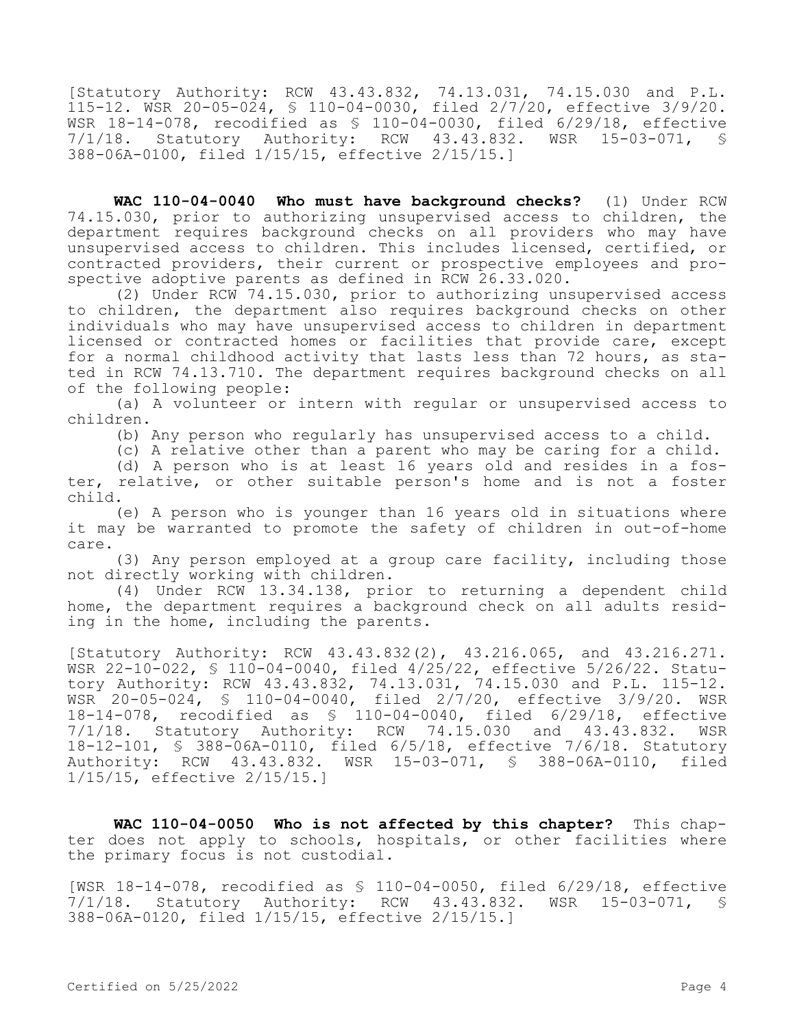[Statutory Authority: RCW 43.43.832, 74.13.031, 74.15.030 and P.L. 115-12. WSR 20-05-024, § 110-04-0030, filed 2/7/20, effective 3/9/20. WSR 18-14-078, recodified as  $$ 110-04-0030$ , filed  $6/29/18$ , effective  $7/1/18$ . Statutory Authority: RCW 43.43.832. WSR 15-03-071.  $$$ 7/1/18. Statutory Authority: RCW 43.43.832. WSR 15-03-071, § 388-06A-0100, filed 1/15/15, effective 2/15/15.]

**WAC 110-04-0040 Who must have background checks?** (1) Under RCW 74.15.030, prior to authorizing unsupervised access to children, the department requires background checks on all providers who may have unsupervised access to children. This includes licensed, certified, or contracted providers, their current or prospective employees and prospective adoptive parents as defined in RCW 26.33.020.

(2) Under RCW 74.15.030, prior to authorizing unsupervised access to children, the department also requires background checks on other individuals who may have unsupervised access to children in department licensed or contracted homes or facilities that provide care, except for a normal childhood activity that lasts less than 72 hours, as stated in RCW 74.13.710. The department requires background checks on all of the following people:

(a) A volunteer or intern with regular or unsupervised access to children.

(b) Any person who regularly has unsupervised access to a child.

(c) A relative other than a parent who may be caring for a child.

(d) A person who is at least 16 years old and resides in a foster, relative, or other suitable person's home and is not a foster child.

(e) A person who is younger than 16 years old in situations where it may be warranted to promote the safety of children in out-of-home care.

(3) Any person employed at a group care facility, including those not directly working with children.

(4) Under RCW 13.34.138, prior to returning a dependent child home, the department requires a background check on all adults residing in the home, including the parents.

[Statutory Authority: RCW 43.43.832(2), 43.216.065, and 43.216.271. WSR 22-10-022, § 110-04-0040, filed 4/25/22, effective 5/26/22. Statutory Authority: RCW 43.43.832, 74.13.031, 74.15.030 and P.L. 115-12. WSR 20-05-024, § 110-04-0040, filed 2/7/20, effective 3/9/20. WSR 18-14-078, recodified as § 110-04-0040, filed 6/29/18, effective 7/1/18. Statutory Authority: RCW 74.15.030 and 43.43.832. WSR 18-12-101, § 388-06A-0110, filed 6/5/18, effective 7/6/18. Statutory Authority: RCW 43.43.832. WSR 15-03-071, § 388-06A-0110, filed 1/15/15, effective 2/15/15.]

**WAC 110-04-0050 Who is not affected by this chapter?** This chapter does not apply to schools, hospitals, or other facilities where the primary focus is not custodial.

[WSR 18-14-078, recodified as § 110-04-0050, filed 6/29/18, effective 7/1/18. Statutory Authority: RCW 43.43.832. WSR 15-03-071, § 388-06A-0120, filed 1/15/15, effective 2/15/15.]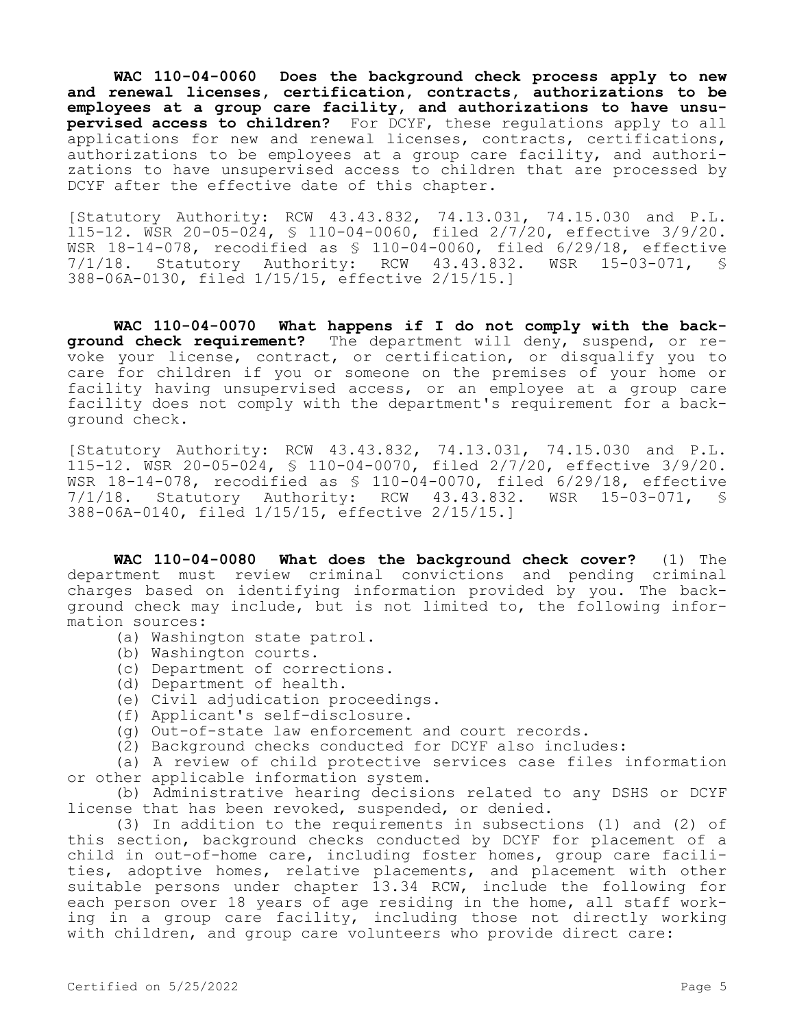**WAC 110-04-0060 Does the background check process apply to new and renewal licenses, certification, contracts, authorizations to be employees at a group care facility, and authorizations to have unsupervised access to children?** For DCYF, these regulations apply to all applications for new and renewal licenses, contracts, certifications, authorizations to be employees at a group care facility, and authorizations to have unsupervised access to children that are processed by DCYF after the effective date of this chapter.

[Statutory Authority: RCW 43.43.832, 74.13.031, 74.15.030 and P.L. 115-12. WSR 20-05-024, § 110-04-0060, filed 2/7/20, effective 3/9/20. WSR 18-14-078, recodified as § 110-04-0060, filed 6/29/18, effective 7/1/18. Statutory Authority: RCW 43.43.832. WSR 15-03-071, § 388-06A-0130, filed 1/15/15, effective 2/15/15.]

**WAC 110-04-0070 What happens if I do not comply with the background check requirement?** The department will deny, suspend, or revoke your license, contract, or certification, or disqualify you to care for children if you or someone on the premises of your home or facility having unsupervised access, or an employee at a group care facility does not comply with the department's requirement for a background check.

[Statutory Authority: RCW 43.43.832, 74.13.031, 74.15.030 and P.L. 115-12. WSR 20-05-024, § 110-04-0070, filed 2/7/20, effective 3/9/20. WSR 18-14-078, recodified as § 110-04-0070, filed 6/29/18, effective 7/1/18. Statutory Authority: RCW 43.43.832. WSR 15-03-071, § 388-06A-0140, filed 1/15/15, effective 2/15/15.]

**WAC 110-04-0080 What does the background check cover?** (1) The department must review criminal convictions and pending criminal charges based on identifying information provided by you. The background check may include, but is not limited to, the following information sources:

- (a) Washington state patrol.
- (b) Washington courts.
- (c) Department of corrections.
- (d) Department of health.
- (e) Civil adjudication proceedings.
- (f) Applicant's self-disclosure.
- (g) Out-of-state law enforcement and court records.
- (2) Background checks conducted for DCYF also includes:

(a) A review of child protective services case files information or other applicable information system.

(b) Administrative hearing decisions related to any DSHS or DCYF license that has been revoked, suspended, or denied.

(3) In addition to the requirements in subsections (1) and (2) of this section, background checks conducted by DCYF for placement of a child in out-of-home care, including foster homes, group care facilities, adoptive homes, relative placements, and placement with other suitable persons under chapter 13.34 RCW, include the following for each person over 18 years of age residing in the home, all staff working in a group care facility, including those not directly working with children, and group care volunteers who provide direct care: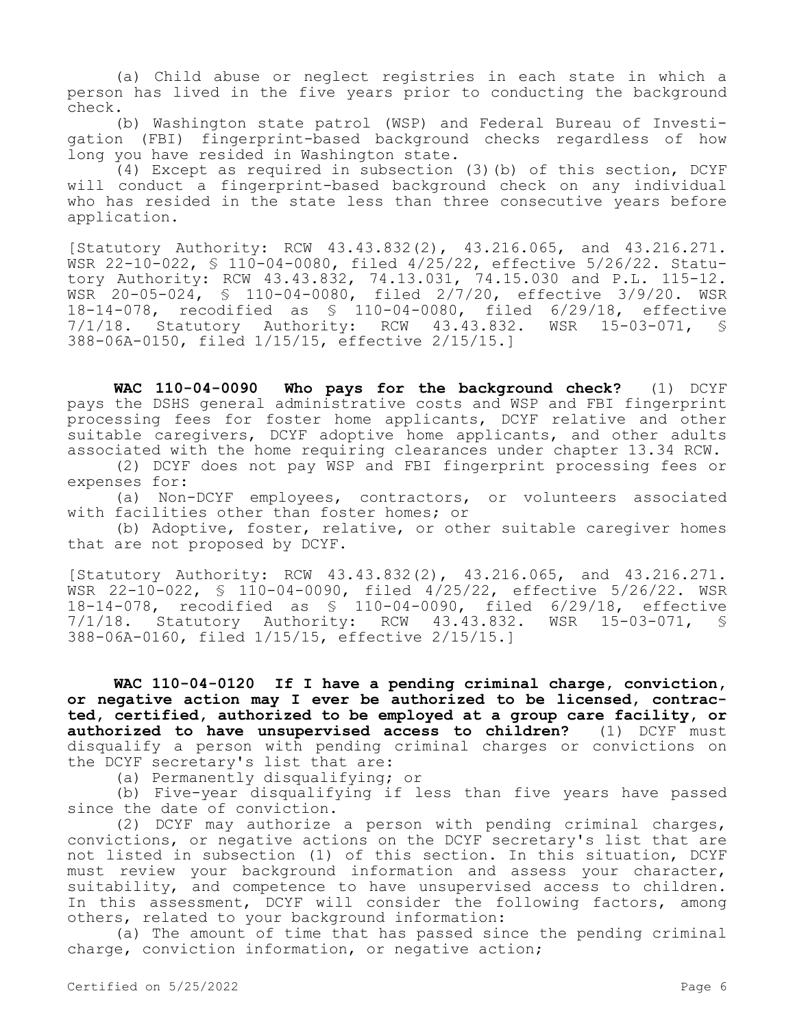(a) Child abuse or neglect registries in each state in which a person has lived in the five years prior to conducting the background check.

(b) Washington state patrol (WSP) and Federal Bureau of Investigation (FBI) fingerprint-based background checks regardless of how long you have resided in Washington state.

(4) Except as required in subsection (3)(b) of this section, DCYF will conduct a fingerprint-based background check on any individual who has resided in the state less than three consecutive years before application.

[Statutory Authority: RCW 43.43.832(2), 43.216.065, and 43.216.271. WSR 22-10-022, § 110-04-0080, filed 4/25/22, effective 5/26/22. Statutory Authority: RCW 43.43.832, 74.13.031, 74.15.030 and P.L. 115-12. WSR 20-05-024, § 110-04-0080, filed 2/7/20, effective 3/9/20. WSR 18-14-078, recodified as § 110-04-0080, filed 6/29/18, effective 7/1/18. Statutory Authority: RCW 43.43.832. WSR 15-03-071, § 388-06A-0150, filed 1/15/15, effective 2/15/15.]

**WAC 110-04-0090 Who pays for the background check?** (1) DCYF pays the DSHS general administrative costs and WSP and FBI fingerprint processing fees for foster home applicants, DCYF relative and other suitable caregivers, DCYF adoptive home applicants, and other adults associated with the home requiring clearances under chapter 13.34 RCW.

(2) DCYF does not pay WSP and FBI fingerprint processing fees or expenses for:

(a) Non-DCYF employees, contractors, or volunteers associated with facilities other than foster homes; or

(b) Adoptive, foster, relative, or other suitable caregiver homes that are not proposed by DCYF.

[Statutory Authority: RCW 43.43.832(2), 43.216.065, and 43.216.271. WSR 22-10-022, § 110-04-0090, filed 4/25/22, effective 5/26/22. WSR 18-14-078, recodified as § 110-04-0090, filed 6/29/18, effective 7/1/18. Statutory Authority: RCW 43.43.832. WSR 15-03-071, 388-06A-0160, filed 1/15/15, effective 2/15/15.]

**WAC 110-04-0120 If I have a pending criminal charge, conviction, or negative action may I ever be authorized to be licensed, contracted, certified, authorized to be employed at a group care facility, or authorized to have unsupervised access to children?** (1) DCYF must disqualify a person with pending criminal charges or convictions on the DCYF secretary's list that are:

(a) Permanently disqualifying; or

(b) Five-year disqualifying if less than five years have passed since the date of conviction.

(2) DCYF may authorize a person with pending criminal charges, convictions, or negative actions on the DCYF secretary's list that are not listed in subsection (1) of this section. In this situation, DCYF must review your background information and assess your character, suitability, and competence to have unsupervised access to children. In this assessment, DCYF will consider the following factors, among others, related to your background information:

(a) The amount of time that has passed since the pending criminal charge, conviction information, or negative action;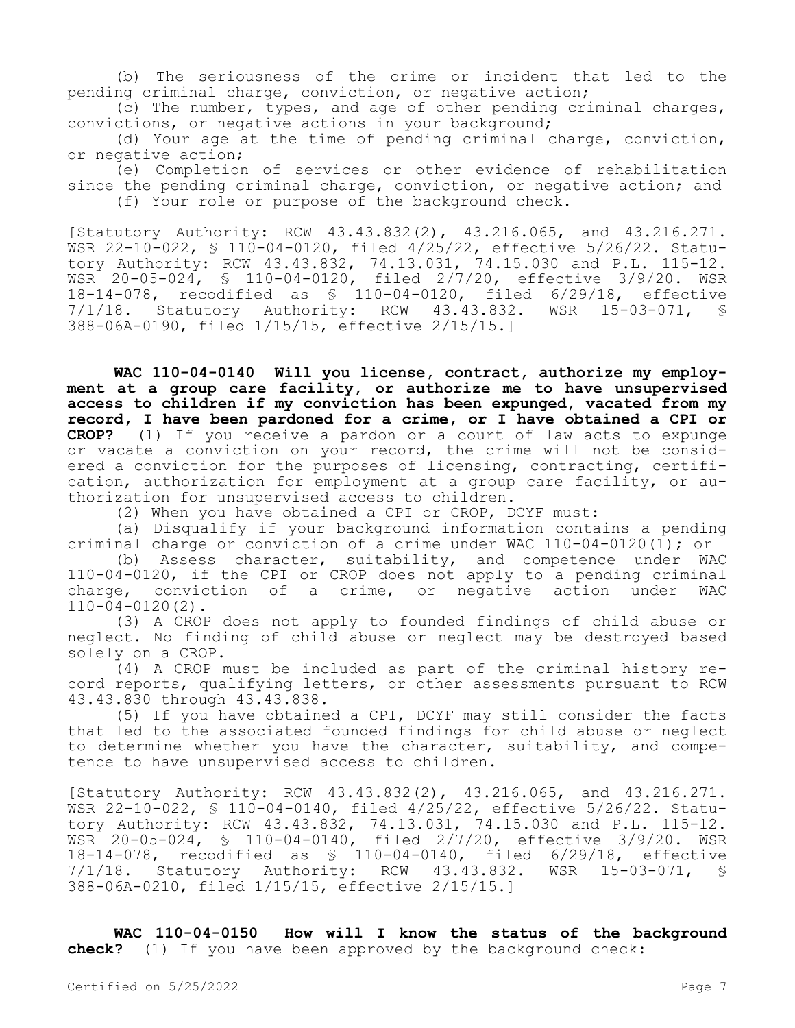(b) The seriousness of the crime or incident that led to the pending criminal charge, conviction, or negative action;

(c) The number, types, and age of other pending criminal charges, convictions, or negative actions in your background;

(d) Your age at the time of pending criminal charge, conviction, or negative action;

(e) Completion of services or other evidence of rehabilitation since the pending criminal charge, conviction, or negative action; and (f) Your role or purpose of the background check.

[Statutory Authority: RCW 43.43.832(2), 43.216.065, and 43.216.271. WSR 22-10-022, § 110-04-0120, filed 4/25/22, effective 5/26/22. Statutory Authority: RCW 43.43.832, 74.13.031, 74.15.030 and P.L. 115-12. WSR 20-05-024, § 110-04-0120, filed 2/7/20, effective 3/9/20. WSR 18-14-078, recodified as \$ 110-04-0120, filed 6/29/18, effective<br>7/1/18. Statutory Authority: RCW 43.43.832. WSR 15-03-071, \$ Statutory Authority: RCW 43.43.832. WSR 15-03-071, § 388-06A-0190, filed 1/15/15, effective 2/15/15.]

**WAC 110-04-0140 Will you license, contract, authorize my employment at a group care facility, or authorize me to have unsupervised access to children if my conviction has been expunged, vacated from my record, I have been pardoned for a crime, or I have obtained a CPI or CROP?** (1) If you receive a pardon or a court of law acts to expunge or vacate a conviction on your record, the crime will not be considered a conviction for the purposes of licensing, contracting, certification, authorization for employment at a group care facility, or authorization for unsupervised access to children.

(2) When you have obtained a CPI or CROP, DCYF must:

(a) Disqualify if your background information contains a pending criminal charge or conviction of a crime under WAC 110-04-0120(1); or<br>(b) Assess character, suitability, and competence under WA

Assess character, suitability, and competence under WAC 110-04-0120, if the CPI or CROP does not apply to a pending criminal<br>charge, conviction of a crime, or negative action under WAC charge, conviction of a crime, or negative action under 110-04-0120(2).

(3) A CROP does not apply to founded findings of child abuse or neglect. No finding of child abuse or neglect may be destroyed based solely on a CROP.

(4) A CROP must be included as part of the criminal history record reports, qualifying letters, or other assessments pursuant to RCW 43.43.830 through 43.43.838.

(5) If you have obtained a CPI, DCYF may still consider the facts that led to the associated founded findings for child abuse or neglect to determine whether you have the character, suitability, and competence to have unsupervised access to children.

[Statutory Authority: RCW 43.43.832(2), 43.216.065, and 43.216.271. WSR 22-10-022, § 110-04-0140, filed 4/25/22, effective 5/26/22. Statutory Authority: RCW 43.43.832, 74.13.031, 74.15.030 and P.L. 115-12. WSR 20-05-024, § 110-04-0140, filed 2/7/20, effective 3/9/20. WSR 18-14-078, recodified as § 110-04-0140, filed 6/29/18, effective 7/1/18. Statutory Authority: RCW 43.43.832. WSR 15-03-071, § 388-06A-0210, filed 1/15/15, effective 2/15/15.]

**WAC 110-04-0150 How will I know the status of the background check?** (1) If you have been approved by the background check: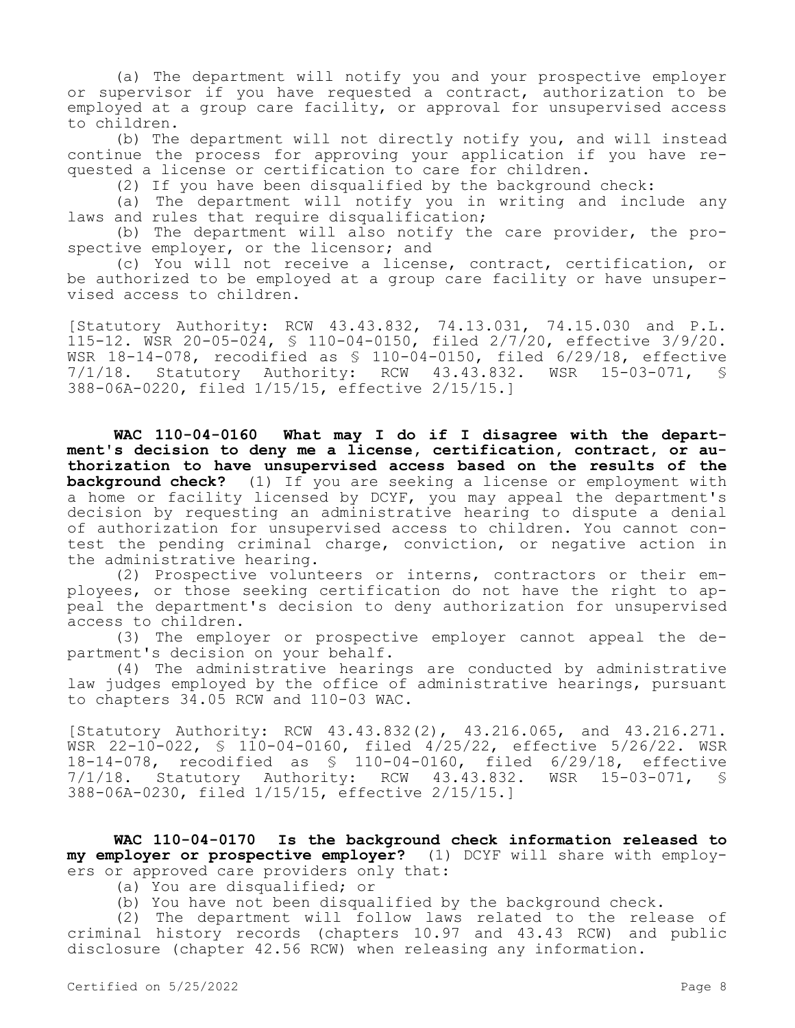(a) The department will notify you and your prospective employer or supervisor if you have requested a contract, authorization to be employed at a group care facility, or approval for unsupervised access to children.

(b) The department will not directly notify you, and will instead continue the process for approving your application if you have requested a license or certification to care for children.

(2) If you have been disqualified by the background check:

(a) The department will notify you in writing and include any laws and rules that require disqualification;

(b) The department will also notify the care provider, the prospective employer, or the licensor; and

(c) You will not receive a license, contract, certification, or be authorized to be employed at a group care facility or have unsupervised access to children.

[Statutory Authority: RCW 43.43.832, 74.13.031, 74.15.030 and P.L. 115-12. WSR 20-05-024, § 110-04-0150, filed 2/7/20, effective 3/9/20. WSR 18-14-078, recodified as § 110-04-0150, filed 6/29/18, effective 7/1/18. Statutory Authority: RCW 43.43.832. WSR 15-03-071, § 388-06A-0220, filed 1/15/15, effective 2/15/15.]

**WAC 110-04-0160 What may I do if I disagree with the department's decision to deny me a license, certification, contract, or authorization to have unsupervised access based on the results of the background check?** (1) If you are seeking a license or employment with a home or facility licensed by DCYF, you may appeal the department's decision by requesting an administrative hearing to dispute a denial of authorization for unsupervised access to children. You cannot contest the pending criminal charge, conviction, or negative action in the administrative hearing.

(2) Prospective volunteers or interns, contractors or their employees, or those seeking certification do not have the right to appeal the department's decision to deny authorization for unsupervised access to children.

(3) The employer or prospective employer cannot appeal the department's decision on your behalf.

(4) The administrative hearings are conducted by administrative law judges employed by the office of administrative hearings, pursuant to chapters 34.05 RCW and 110-03 WAC.

[Statutory Authority: RCW 43.43.832(2), 43.216.065, and 43.216.271. WSR 22-10-022, § 110-04-0160, filed 4/25/22, effective 5/26/22. WSR 18-14-078, recodified as § 110-04-0160, filed 6/29/18, effective 7/1/18. Statutory Authority: RCW 43.43.832. WSR 15-03-071, § 388-06A-0230, filed 1/15/15, effective 2/15/15.]

**WAC 110-04-0170 Is the background check information released to my employer or prospective employer?** (1) DCYF will share with employers or approved care providers only that:

(a) You are disqualified; or

(b) You have not been disqualified by the background check.

(2) The department will follow laws related to the release of criminal history records (chapters 10.97 and 43.43 RCW) and public disclosure (chapter 42.56 RCW) when releasing any information.